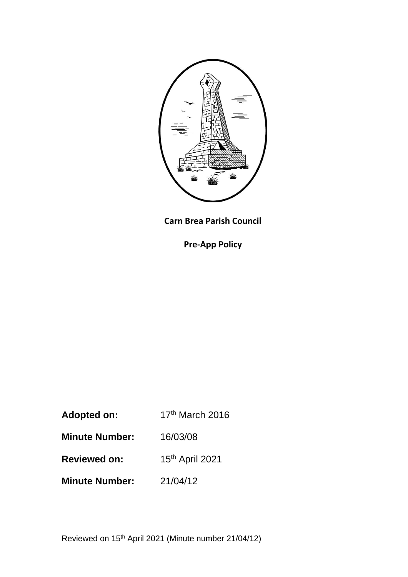

**Carn Brea Parish Council**

**Pre-App Policy**

- Adopted on: 17<sup>th</sup> March 2016
- **Minute Number:** 16/03/08
- **Reviewed on:** 15<sup>th</sup> April 2021
- **Minute Number:** 21/04/12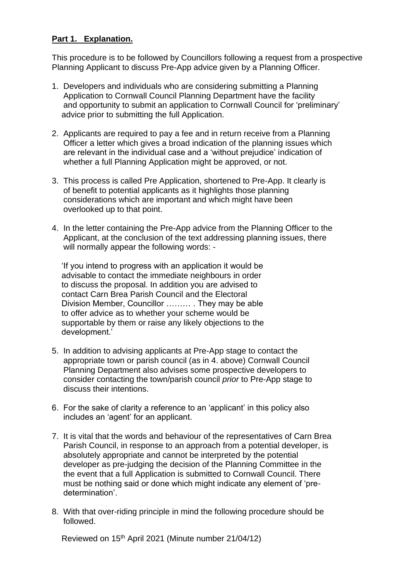## **Part 1. Explanation.**

This procedure is to be followed by Councillors following a request from a prospective Planning Applicant to discuss Pre-App advice given by a Planning Officer.

- 1. Developers and individuals who are considering submitting a Planning Application to Cornwall Council Planning Department have the facility and opportunity to submit an application to Cornwall Council for 'preliminary' advice prior to submitting the full Application.
- 2. Applicants are required to pay a fee and in return receive from a Planning Officer a letter which gives a broad indication of the planning issues which are relevant in the individual case and a 'without prejudice' indication of whether a full Planning Application might be approved, or not.
- 3. This process is called Pre Application, shortened to Pre-App. It clearly is of benefit to potential applicants as it highlights those planning considerations which are important and which might have been overlooked up to that point.
- 4. In the letter containing the Pre-App advice from the Planning Officer to the Applicant, at the conclusion of the text addressing planning issues, there will normally appear the following words: -

'If you intend to progress with an application it would be advisable to contact the immediate neighbours in order to discuss the proposal. In addition you are advised to contact Carn Brea Parish Council and the Electoral Division Member, Councillor ……… . They may be able to offer advice as to whether your scheme would be supportable by them or raise any likely objections to the development.'

- 5. In addition to advising applicants at Pre-App stage to contact the appropriate town or parish council (as in 4. above) Cornwall Council Planning Department also advises some prospective developers to consider contacting the town/parish council *prior* to Pre-App stage to discuss their intentions.
- 6. For the sake of clarity a reference to an 'applicant' in this policy also includes an 'agent' for an applicant.
- 7. It is vital that the words and behaviour of the representatives of Carn Brea Parish Council, in response to an approach from a potential developer, is absolutely appropriate and cannot be interpreted by the potential developer as pre-judging the decision of the Planning Committee in the the event that a full Application is submitted to Cornwall Council. There must be nothing said or done which might indicate any element of 'pre determination'
- 8. With that over-riding principle in mind the following procedure should be followed.

Reviewed on 15th April 2021 (Minute number 21/04/12)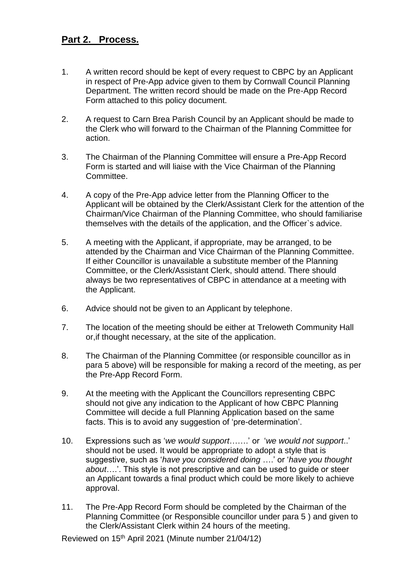## **Part 2. Process.**

- 1. A written record should be kept of every request to CBPC by an Applicant in respect of Pre-App advice given to them by Cornwall Council Planning Department. The written record should be made on the Pre-App Record Form attached to this policy document.
- 2. A request to Carn Brea Parish Council by an Applicant should be made to the Clerk who will forward to the Chairman of the Planning Committee for action.
- 3. The Chairman of the Planning Committee will ensure a Pre-App Record Form is started and will liaise with the Vice Chairman of the Planning Committee.
- 4. A copy of the Pre-App advice letter from the Planning Officer to the Applicant will be obtained by the Clerk/Assistant Clerk for the attention of the Chairman/Vice Chairman of the Planning Committee, who should familiarise themselves with the details of the application, and the Officer`s advice.
- 5. A meeting with the Applicant, if appropriate, may be arranged, to be attended by the Chairman and Vice Chairman of the Planning Committee. If either Councillor is unavailable a substitute member of the Planning Committee, or the Clerk/Assistant Clerk, should attend. There should always be two representatives of CBPC in attendance at a meeting with the Applicant.
- 6. Advice should not be given to an Applicant by telephone.
- 7. The location of the meeting should be either at Treloweth Community Hall or,if thought necessary, at the site of the application.
- 8. The Chairman of the Planning Committee (or responsible councillor as in para 5 above) will be responsible for making a record of the meeting, as per the Pre-App Record Form.
- 9. At the meeting with the Applicant the Councillors representing CBPC should not give any indication to the Applicant of how CBPC Planning Committee will decide a full Planning Application based on the same facts. This is to avoid any suggestion of 'pre-determination'.
- 10. Expressions such as '*we would support*…….' or '*we would not support*..' should not be used. It would be appropriate to adopt a style that is suggestive, such as '*have you considered doing* ….' or '*have you thought about*….'. This style is not prescriptive and can be used to guide or steer an Applicant towards a final product which could be more likely to achieve approval.
- 11. The Pre-App Record Form should be completed by the Chairman of the Planning Committee (or Responsible councillor under para 5 ) and given to the Clerk/Assistant Clerk within 24 hours of the meeting.

Reviewed on 15th April 2021 (Minute number 21/04/12)